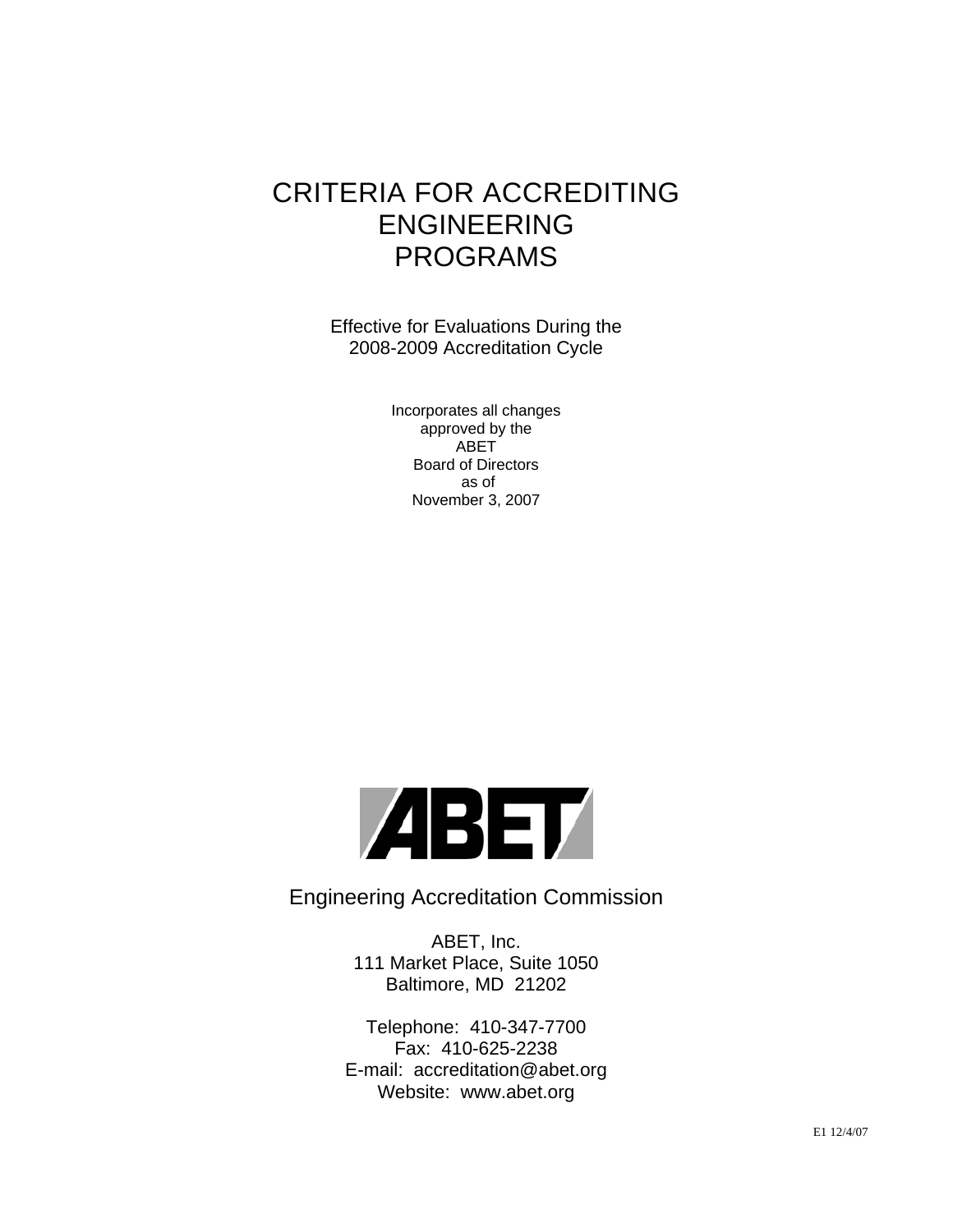# CRITERIA FOR ACCREDITING ENGINEERING PROGRAMS

Effective for Evaluations During the 2008-2009 Accreditation Cycle

> Incorporates all changes approved by the ABET Board of Directors as of November 3, 2007



Engineering Accreditation Commission

ABET, Inc. 111 Market Place, Suite 1050 Baltimore, MD 21202

Telephone: 410-347-7700 Fax: 410-625-2238 E-mail: accreditation@abet.org Website: www.abet.org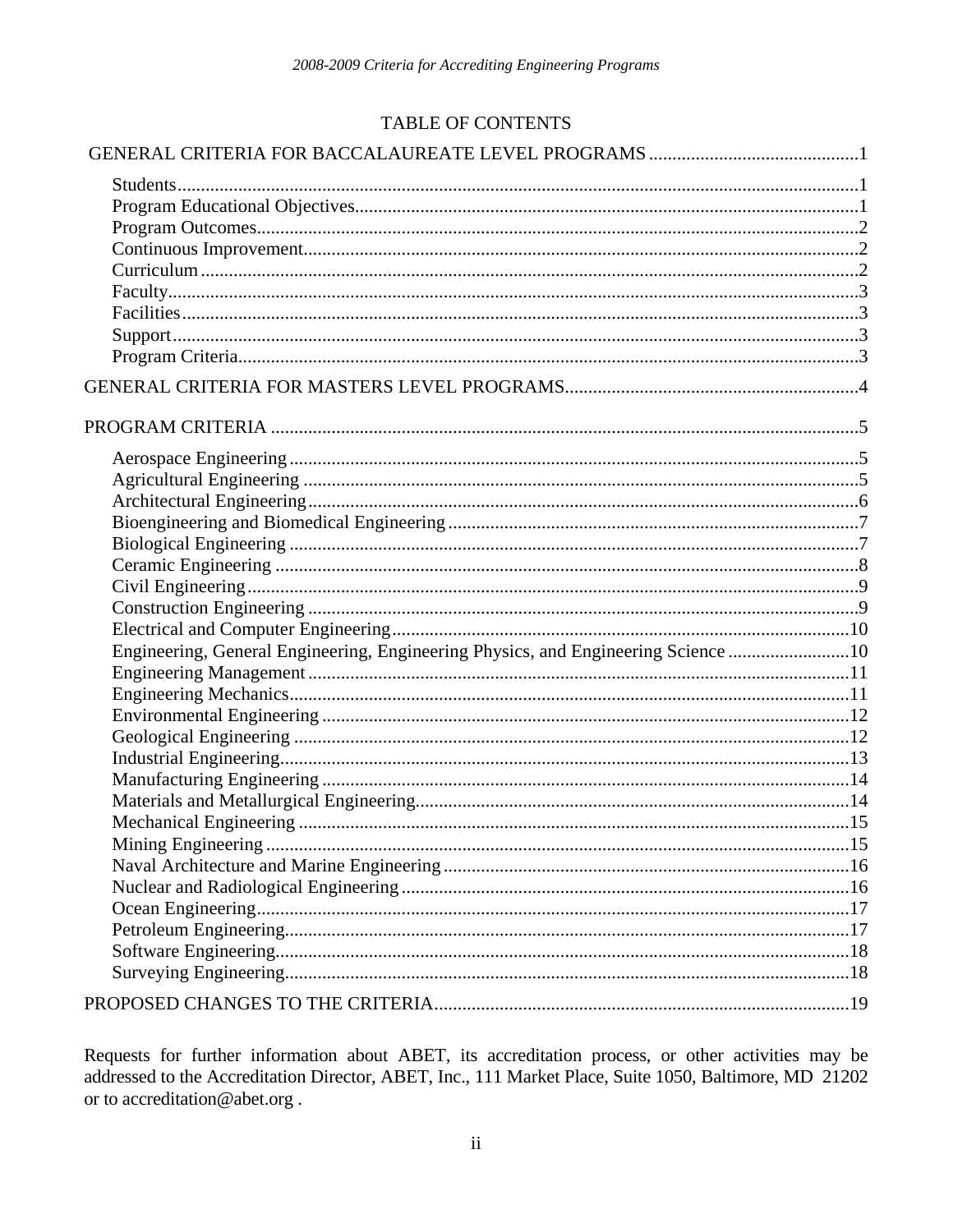## TABLE OF CONTENTS

| Engineering, General Engineering, Engineering Physics, and Engineering Science 10 |  |
|-----------------------------------------------------------------------------------|--|
|                                                                                   |  |
|                                                                                   |  |
|                                                                                   |  |
|                                                                                   |  |
|                                                                                   |  |
|                                                                                   |  |
|                                                                                   |  |
|                                                                                   |  |
|                                                                                   |  |
|                                                                                   |  |
|                                                                                   |  |
|                                                                                   |  |
|                                                                                   |  |
|                                                                                   |  |
|                                                                                   |  |
|                                                                                   |  |

Requests for further information about ABET, its accreditation process, or other activities may be addressed to the Accreditation Director, ABET, Inc., 111 Market Place, Suite 1050, Baltimore, MD 21202 or to accreditation@abet.org .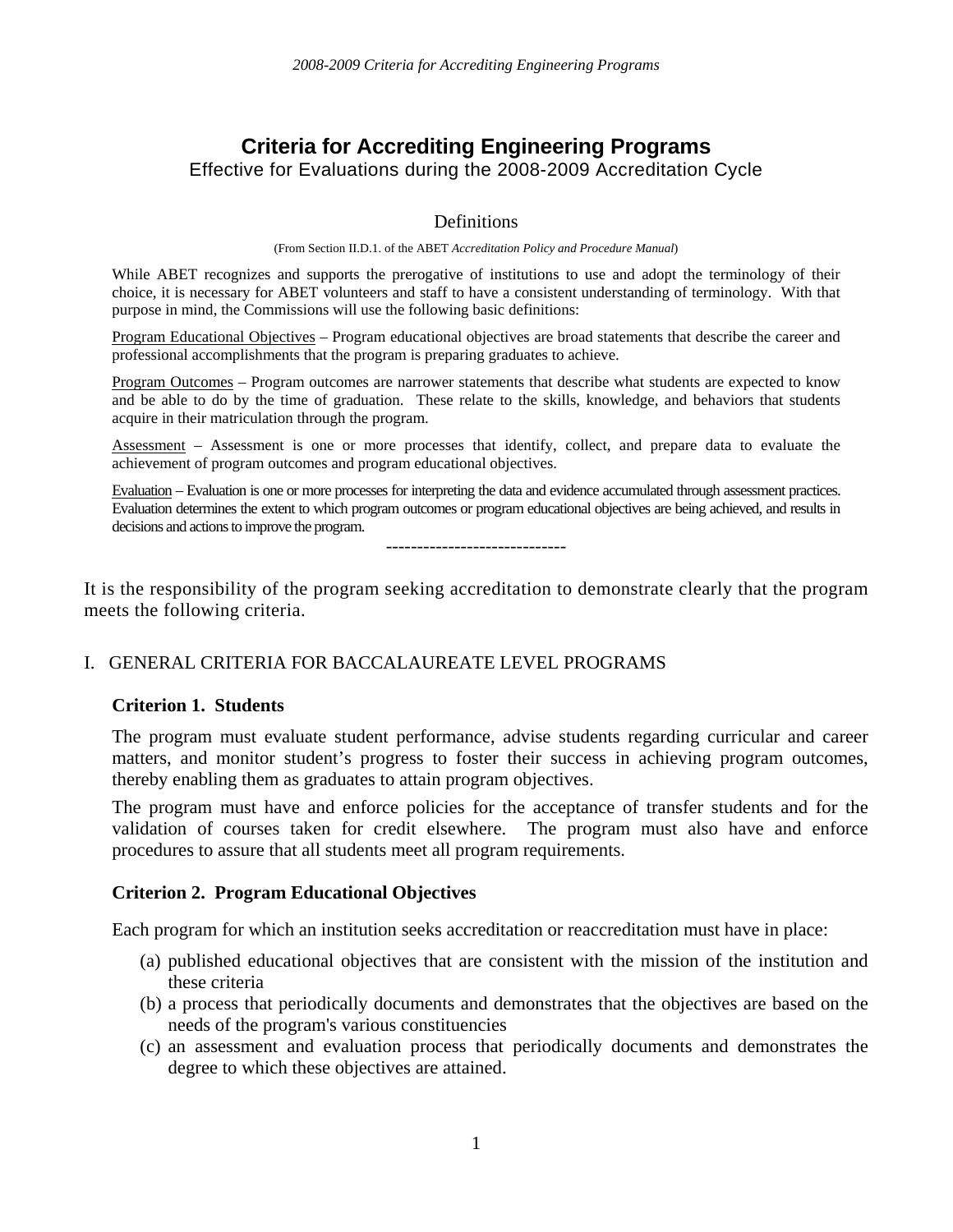## <span id="page-2-0"></span>**Criteria for Accrediting Engineering Programs** Effective for Evaluations during the 2008-2009 Accreditation Cycle

#### **Definitions**

(From Section II.D.1. of the ABET *Accreditation Policy and Procedure Manual*)

While ABET recognizes and supports the prerogative of institutions to use and adopt the terminology of their choice, it is necessary for ABET volunteers and staff to have a consistent understanding of terminology. With that purpose in mind, the Commissions will use the following basic definitions:

Program Educational Objectives – Program educational objectives are broad statements that describe the career and professional accomplishments that the program is preparing graduates to achieve.

Program Outcomes – Program outcomes are narrower statements that describe what students are expected to know and be able to do by the time of graduation. These relate to the skills, knowledge, and behaviors that students acquire in their matriculation through the program.

Assessment – Assessment is one or more processes that identify, collect, and prepare data to evaluate the achievement of program outcomes and program educational objectives.

Evaluation – Evaluation is one or more processes for interpreting the data and evidence accumulated through assessment practices. Evaluation determines the extent to which program outcomes or program educational objectives are being achieved, and results in decisions and actions to improve the program.

-----------------------------

It is the responsibility of the program seeking accreditation to demonstrate clearly that the program meets the following criteria.

#### I. GENERAL CRITERIA FOR BACCALAUREATE LEVEL PROGRAMS

#### **Criterion 1. Students**

The program must evaluate student performance, advise students regarding curricular and career matters, and monitor student's progress to foster their success in achieving program outcomes, thereby enabling them as graduates to attain program objectives.

The program must have and enforce policies for the acceptance of transfer students and for the validation of courses taken for credit elsewhere. The program must also have and enforce procedures to assure that all students meet all program requirements.

#### **Criterion 2. Program Educational Objectives**

Each program for which an institution seeks accreditation or reaccreditation must have in place:

- (a) published educational objectives that are consistent with the mission of the institution and these criteria
- (b) a process that periodically documents and demonstrates that the objectives are based on the needs of the program's various constituencies
- (c) an assessment and evaluation process that periodically documents and demonstrates the degree to which these objectives are attained.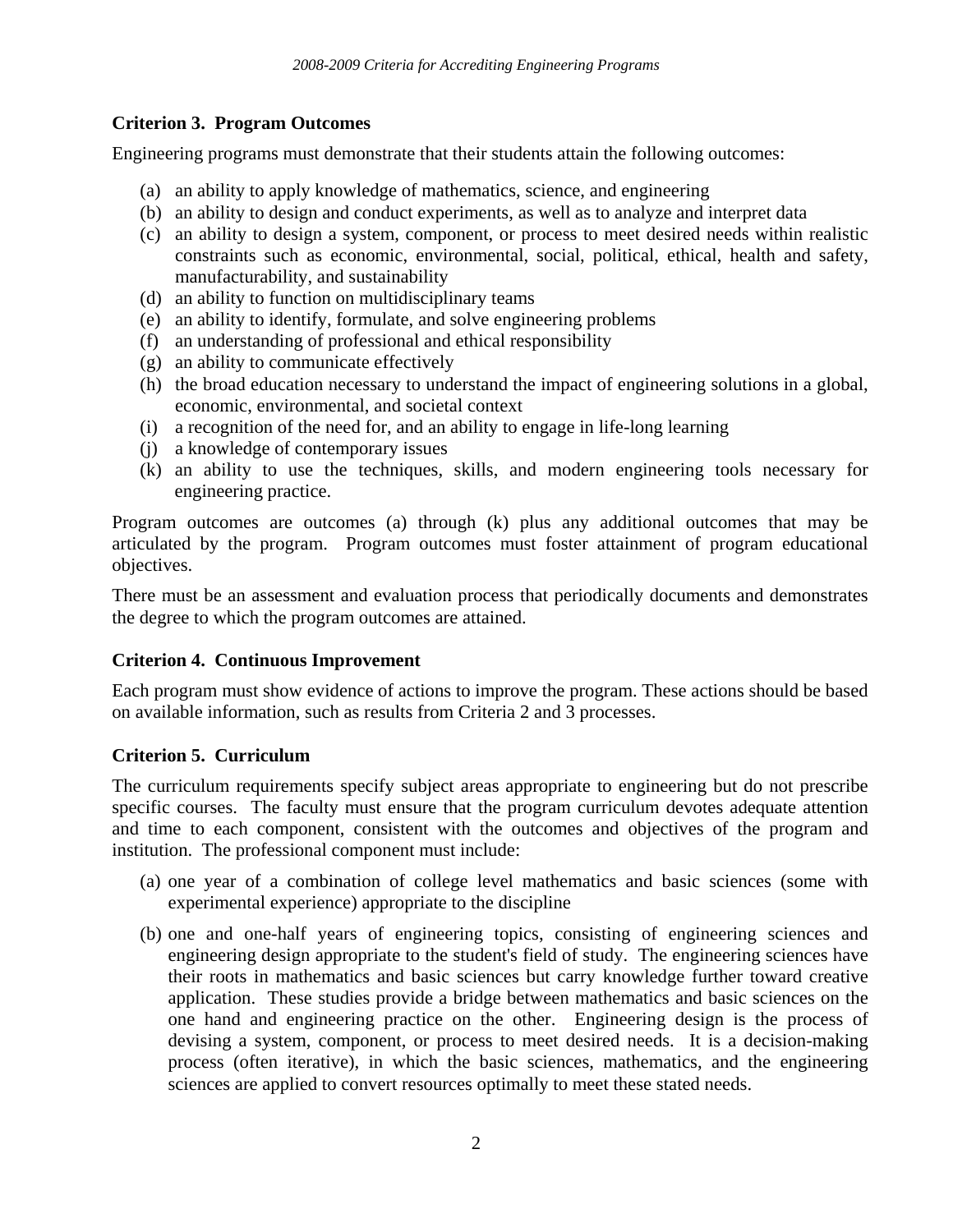## <span id="page-3-0"></span>**Criterion 3. Program Outcomes**

Engineering programs must demonstrate that their students attain the following outcomes:

- (a) an ability to apply knowledge of mathematics, science, and engineering
- (b) an ability to design and conduct experiments, as well as to analyze and interpret data
- (c) an ability to design a system, component, or process to meet desired needs within realistic constraints such as economic, environmental, social, political, ethical, health and safety, manufacturability, and sustainability
- (d) an ability to function on multidisciplinary teams
- (e) an ability to identify, formulate, and solve engineering problems
- (f) an understanding of professional and ethical responsibility
- (g) an ability to communicate effectively
- (h) the broad education necessary to understand the impact of engineering solutions in a global, economic, environmental, and societal context
- (i) a recognition of the need for, and an ability to engage in life-long learning
- (j) a knowledge of contemporary issues
- (k) an ability to use the techniques, skills, and modern engineering tools necessary for engineering practice.

Program outcomes are outcomes (a) through (k) plus any additional outcomes that may be articulated by the program. Program outcomes must foster attainment of program educational objectives.

There must be an assessment and evaluation process that periodically documents and demonstrates the degree to which the program outcomes are attained.

### **Criterion 4. Continuous Improvement**

Each program must show evidence of actions to improve the program. These actions should be based on available information, such as results from Criteria 2 and 3 processes.

### **Criterion 5. Curriculum**

The curriculum requirements specify subject areas appropriate to engineering but do not prescribe specific courses. The faculty must ensure that the program curriculum devotes adequate attention and time to each component, consistent with the outcomes and objectives of the program and institution. The professional component must include:

- (a) one year of a combination of college level mathematics and basic sciences (some with experimental experience) appropriate to the discipline
- (b) one and one-half years of engineering topics, consisting of engineering sciences and engineering design appropriate to the student's field of study. The engineering sciences have their roots in mathematics and basic sciences but carry knowledge further toward creative application. These studies provide a bridge between mathematics and basic sciences on the one hand and engineering practice on the other. Engineering design is the process of devising a system, component, or process to meet desired needs. It is a decision-making process (often iterative), in which the basic sciences, mathematics, and the engineering sciences are applied to convert resources optimally to meet these stated needs.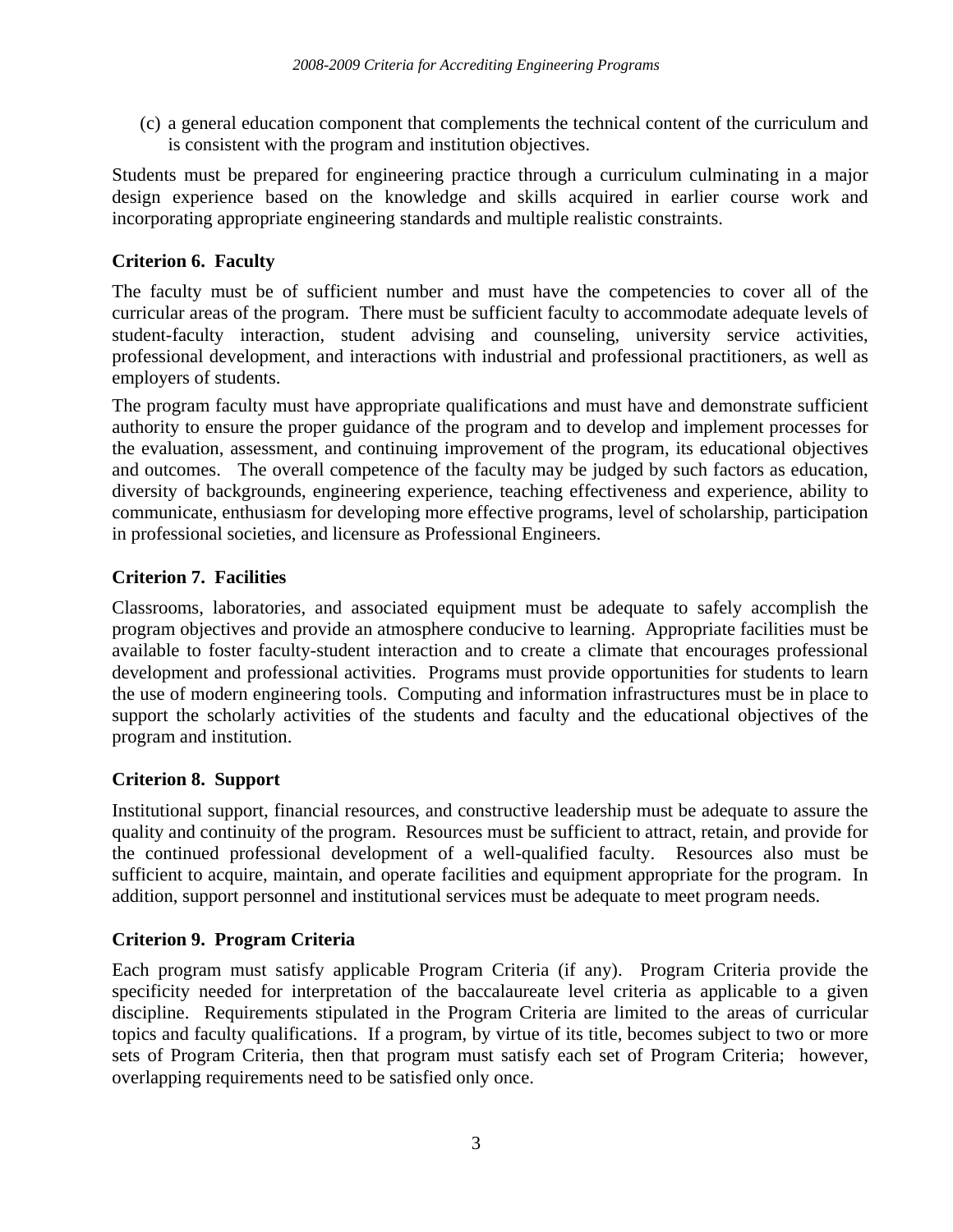<span id="page-4-0"></span>(c) a general education component that complements the technical content of the curriculum and is consistent with the program and institution objectives.

Students must be prepared for engineering practice through a curriculum culminating in a major design experience based on the knowledge and skills acquired in earlier course work and incorporating appropriate engineering standards and multiple realistic constraints.

## **Criterion 6. Faculty**

The faculty must be of sufficient number and must have the competencies to cover all of the curricular areas of the program. There must be sufficient faculty to accommodate adequate levels of student-faculty interaction, student advising and counseling, university service activities, professional development, and interactions with industrial and professional practitioners, as well as employers of students.

The program faculty must have appropriate qualifications and must have and demonstrate sufficient authority to ensure the proper guidance of the program and to develop and implement processes for the evaluation, assessment, and continuing improvement of the program, its educational objectives and outcomes. The overall competence of the faculty may be judged by such factors as education, diversity of backgrounds, engineering experience, teaching effectiveness and experience, ability to communicate, enthusiasm for developing more effective programs, level of scholarship, participation in professional societies, and licensure as Professional Engineers.

## **Criterion 7. Facilities**

Classrooms, laboratories, and associated equipment must be adequate to safely accomplish the program objectives and provide an atmosphere conducive to learning. Appropriate facilities must be available to foster faculty-student interaction and to create a climate that encourages professional development and professional activities. Programs must provide opportunities for students to learn the use of modern engineering tools. Computing and information infrastructures must be in place to support the scholarly activities of the students and faculty and the educational objectives of the program and institution.

## **Criterion 8. Support**

Institutional support, financial resources, and constructive leadership must be adequate to assure the quality and continuity of the program. Resources must be sufficient to attract, retain, and provide for the continued professional development of a well-qualified faculty. Resources also must be sufficient to acquire, maintain, and operate facilities and equipment appropriate for the program. In addition, support personnel and institutional services must be adequate to meet program needs.

### **Criterion 9. Program Criteria**

Each program must satisfy applicable Program Criteria (if any). Program Criteria provide the specificity needed for interpretation of the baccalaureate level criteria as applicable to a given discipline. Requirements stipulated in the Program Criteria are limited to the areas of curricular topics and faculty qualifications. If a program, by virtue of its title, becomes subject to two or more sets of Program Criteria, then that program must satisfy each set of Program Criteria; however, overlapping requirements need to be satisfied only once.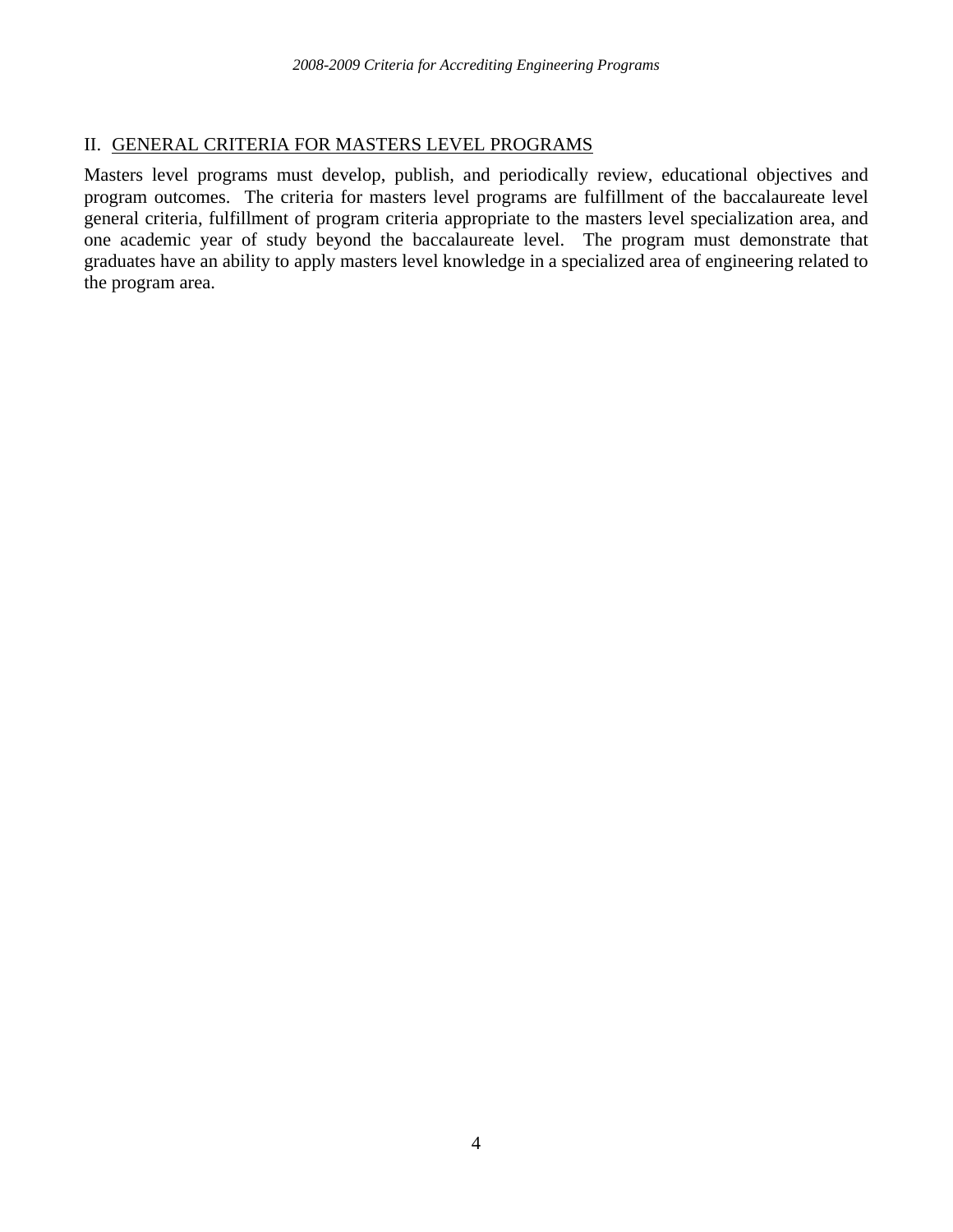## <span id="page-5-0"></span>II. GENERAL CRITERIA FOR MASTERS LEVEL PROGRAMS

Masters level programs must develop, publish, and periodically review, educational objectives and program outcomes. The criteria for masters level programs are fulfillment of the baccalaureate level general criteria, fulfillment of program criteria appropriate to the masters level specialization area, and one academic year of study beyond the baccalaureate level. The program must demonstrate that graduates have an ability to apply masters level knowledge in a specialized area of engineering related to the program area.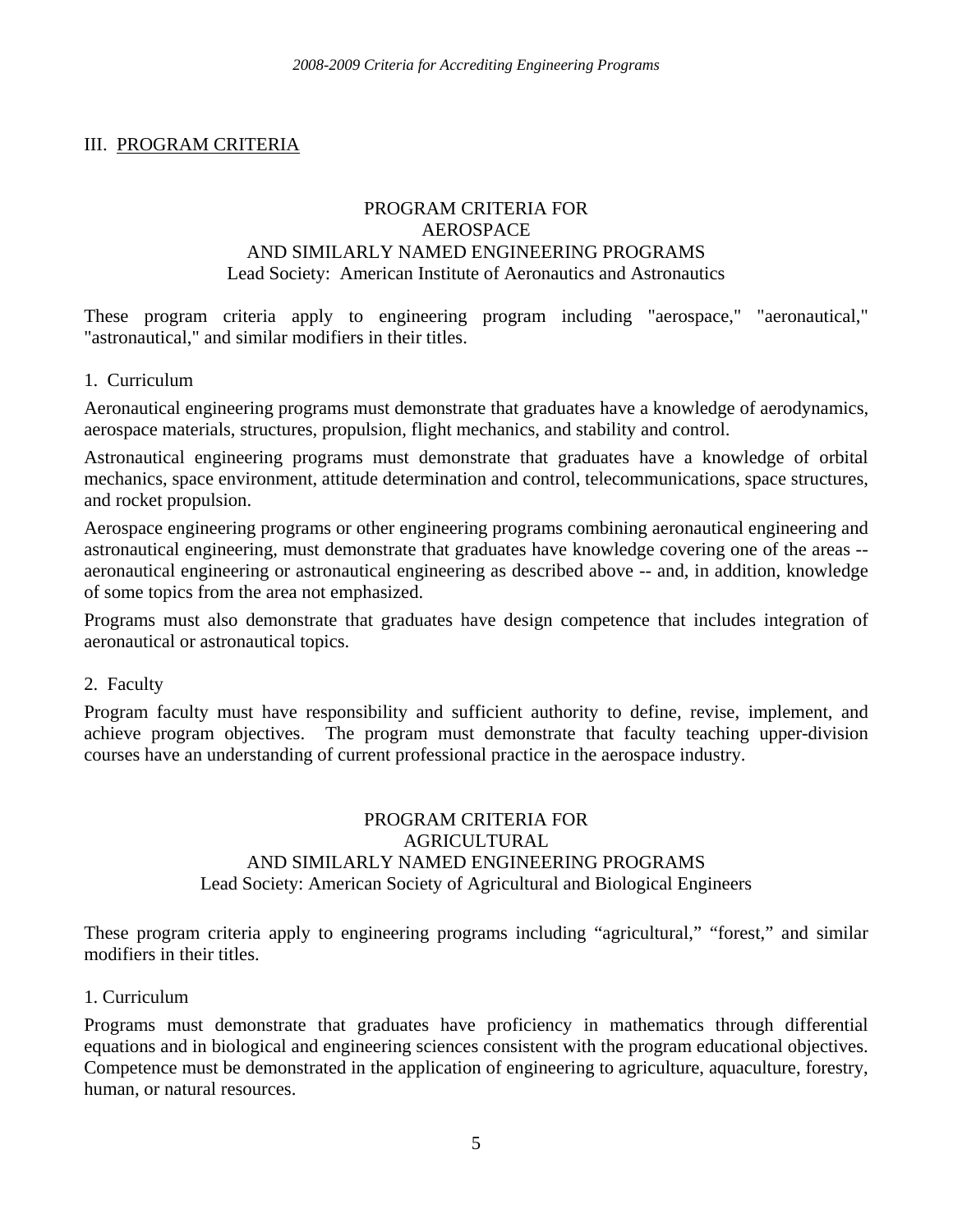#### <span id="page-6-0"></span>III. PROGRAM CRITERIA

#### PROGRAM CRITERIA FOR AEROSPACE AND SIMILARLY NAMED ENGINEERING PROGRAMS Lead Society: American Institute of Aeronautics and Astronautics

These program criteria apply to engineering program including "aerospace," "aeronautical," "astronautical," and similar modifiers in their titles.

#### 1. Curriculum

Aeronautical engineering programs must demonstrate that graduates have a knowledge of aerodynamics, aerospace materials, structures, propulsion, flight mechanics, and stability and control.

Astronautical engineering programs must demonstrate that graduates have a knowledge of orbital mechanics, space environment, attitude determination and control, telecommunications, space structures, and rocket propulsion.

Aerospace engineering programs or other engineering programs combining aeronautical engineering and astronautical engineering, must demonstrate that graduates have knowledge covering one of the areas - aeronautical engineering or astronautical engineering as described above -- and, in addition, knowledge of some topics from the area not emphasized.

Programs must also demonstrate that graduates have design competence that includes integration of aeronautical or astronautical topics.

#### 2. Faculty

Program faculty must have responsibility and sufficient authority to define, revise, implement, and achieve program objectives. The program must demonstrate that faculty teaching upper-division courses have an understanding of current professional practice in the aerospace industry.

#### PROGRAM CRITERIA FOR AGRICULTURAL AND SIMILARLY NAMED ENGINEERING PROGRAMS Lead Society: American Society of Agricultural and Biological Engineers

These program criteria apply to engineering programs including "agricultural," "forest," and similar modifiers in their titles.

#### 1. Curriculum

Programs must demonstrate that graduates have proficiency in mathematics through differential equations and in biological and engineering sciences consistent with the program educational objectives. Competence must be demonstrated in the application of engineering to agriculture, aquaculture, forestry, human, or natural resources.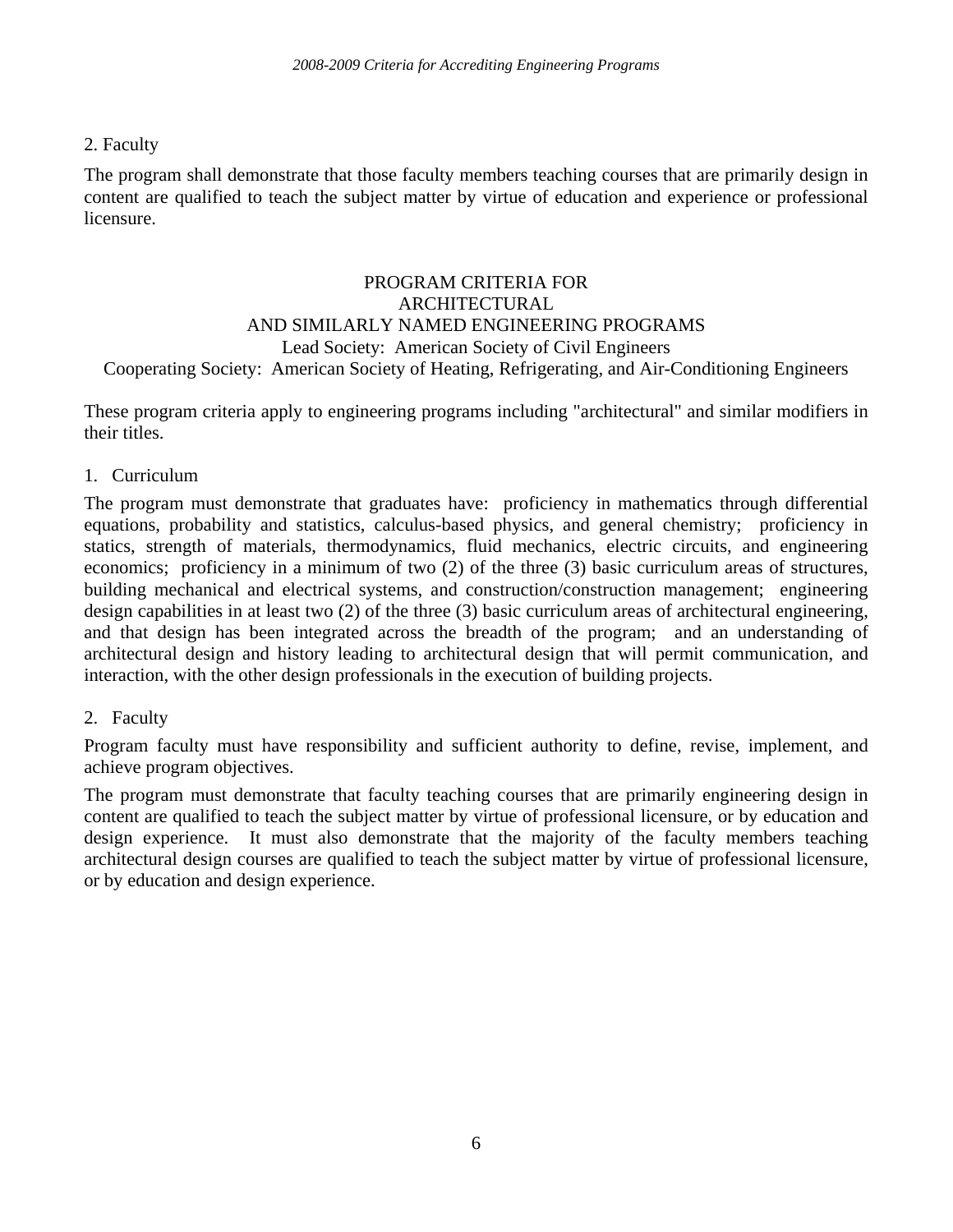<span id="page-7-0"></span>The program shall demonstrate that those faculty members teaching courses that are primarily design in content are qualified to teach the subject matter by virtue of education and experience or professional licensure.

#### PROGRAM CRITERIA FOR ARCHITECTURAL AND SIMILARLY NAMED ENGINEERING PROGRAMS Lead Society: American Society of Civil Engineers Cooperating Society: American Society of Heating, Refrigerating, and Air-Conditioning Engineers

These program criteria apply to engineering programs including "architectural" and similar modifiers in their titles.

#### 1. Curriculum

The program must demonstrate that graduates have: proficiency in mathematics through differential equations, probability and statistics, calculus-based physics, and general chemistry; proficiency in statics, strength of materials, thermodynamics, fluid mechanics, electric circuits, and engineering economics; proficiency in a minimum of two (2) of the three (3) basic curriculum areas of structures, building mechanical and electrical systems, and construction/construction management; engineering design capabilities in at least two (2) of the three (3) basic curriculum areas of architectural engineering, and that design has been integrated across the breadth of the program; and an understanding of architectural design and history leading to architectural design that will permit communication, and interaction, with the other design professionals in the execution of building projects.

#### 2. Faculty

Program faculty must have responsibility and sufficient authority to define, revise, implement, and achieve program objectives.

The program must demonstrate that faculty teaching courses that are primarily engineering design in content are qualified to teach the subject matter by virtue of professional licensure, or by education and design experience. It must also demonstrate that the majority of the faculty members teaching architectural design courses are qualified to teach the subject matter by virtue of professional licensure, or by education and design experience.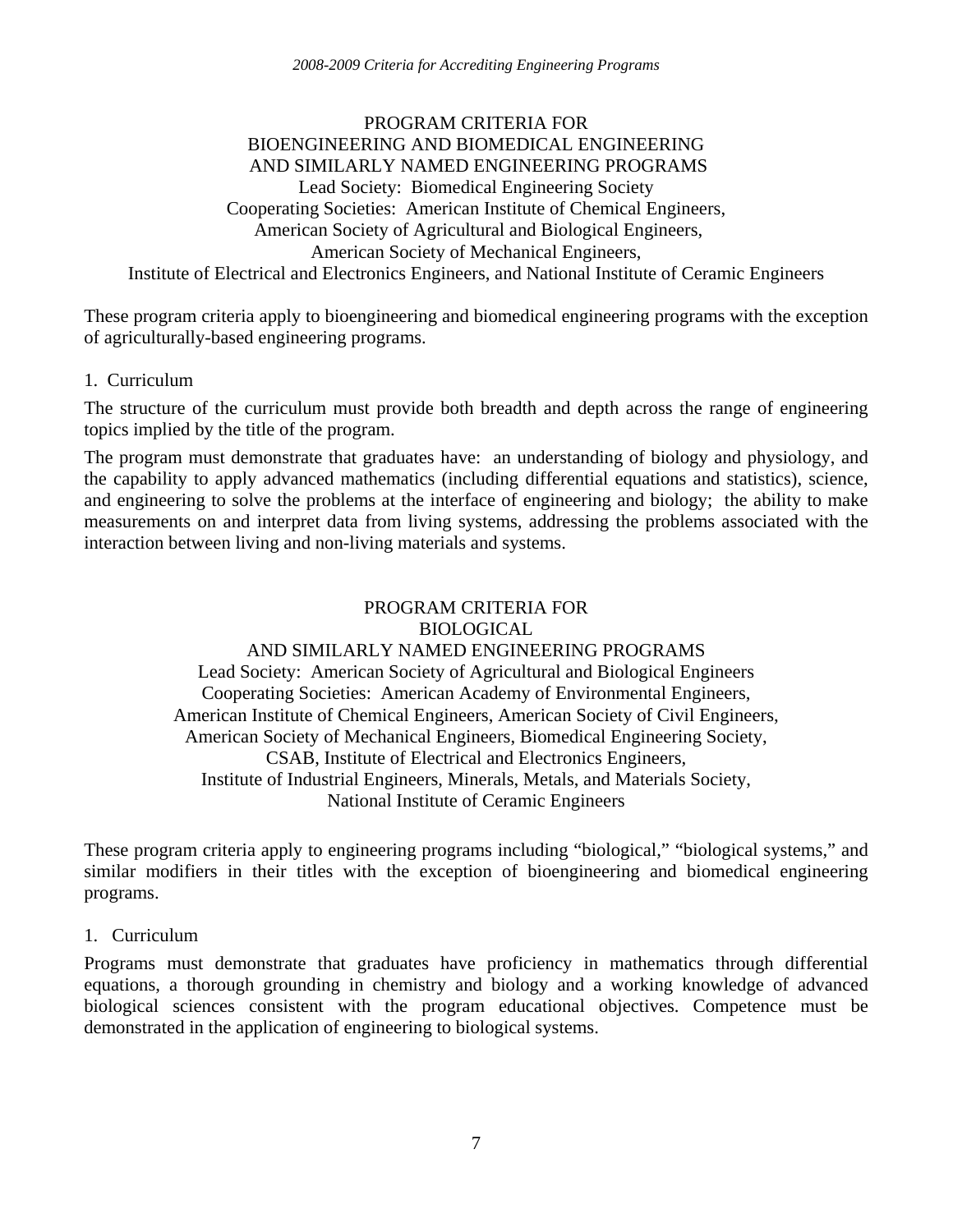#### <span id="page-8-0"></span>PROGRAM CRITERIA FOR BIOENGINEERING AND BIOMEDICAL ENGINEERING AND SIMILARLY NAMED ENGINEERING PROGRAMS Lead Society: Biomedical Engineering Society Cooperating Societies: American Institute of Chemical Engineers, American Society of Agricultural and Biological Engineers, American Society of Mechanical Engineers, Institute of Electrical and Electronics Engineers, and National Institute of Ceramic Engineers

These program criteria apply to bioengineering and biomedical engineering programs with the exception of agriculturally-based engineering programs.

### 1. Curriculum

The structure of the curriculum must provide both breadth and depth across the range of engineering topics implied by the title of the program.

The program must demonstrate that graduates have: an understanding of biology and physiology, and the capability to apply advanced mathematics (including differential equations and statistics), science, and engineering to solve the problems at the interface of engineering and biology; the ability to make measurements on and interpret data from living systems, addressing the problems associated with the interaction between living and non-living materials and systems.

## PROGRAM CRITERIA FOR BIOLOGICAL AND SIMILARLY NAMED ENGINEERING PROGRAMS Lead Society: American Society of Agricultural and Biological Engineers Cooperating Societies: American Academy of Environmental Engineers, American Institute of Chemical Engineers, American Society of Civil Engineers, American Society of Mechanical Engineers, Biomedical Engineering Society, CSAB, Institute of Electrical and Electronics Engineers, Institute of Industrial Engineers, Minerals, Metals, and Materials Society, National Institute of Ceramic Engineers

These program criteria apply to engineering programs including "biological," "biological systems," and similar modifiers in their titles with the exception of bioengineering and biomedical engineering programs.

### 1. Curriculum

Programs must demonstrate that graduates have proficiency in mathematics through differential equations, a thorough grounding in chemistry and biology and a working knowledge of advanced biological sciences consistent with the program educational objectives. Competence must be demonstrated in the application of engineering to biological systems.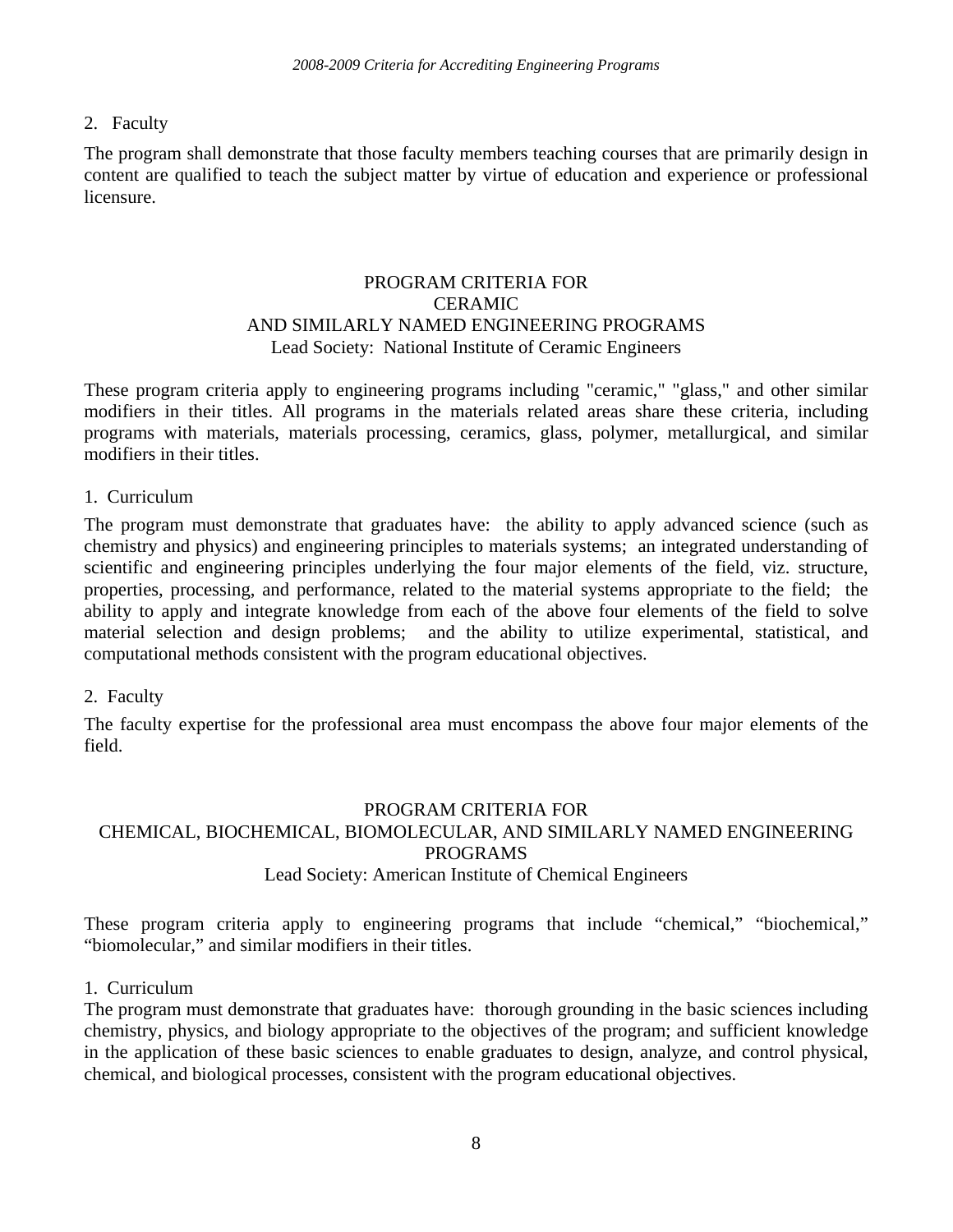<span id="page-9-0"></span>The program shall demonstrate that those faculty members teaching courses that are primarily design in content are qualified to teach the subject matter by virtue of education and experience or professional licensure.

#### PROGRAM CRITERIA FOR CERAMIC AND SIMILARLY NAMED ENGINEERING PROGRAMS Lead Society: National Institute of Ceramic Engineers

These program criteria apply to engineering programs including "ceramic," "glass," and other similar modifiers in their titles. All programs in the materials related areas share these criteria, including programs with materials, materials processing, ceramics, glass, polymer, metallurgical, and similar modifiers in their titles.

#### 1. Curriculum

The program must demonstrate that graduates have: the ability to apply advanced science (such as chemistry and physics) and engineering principles to materials systems; an integrated understanding of scientific and engineering principles underlying the four major elements of the field, viz. structure, properties, processing, and performance, related to the material systems appropriate to the field; the ability to apply and integrate knowledge from each of the above four elements of the field to solve material selection and design problems; and the ability to utilize experimental, statistical, and computational methods consistent with the program educational objectives.

#### 2. Faculty

The faculty expertise for the professional area must encompass the above four major elements of the field.

#### PROGRAM CRITERIA FOR CHEMICAL, BIOCHEMICAL, BIOMOLECULAR, AND SIMILARLY NAMED ENGINEERING PROGRAMS Lead Society: American Institute of Chemical Engineers

These program criteria apply to engineering programs that include "chemical," "biochemical," "biomolecular," and similar modifiers in their titles.

#### 1. Curriculum

The program must demonstrate that graduates have: thorough grounding in the basic sciences including chemistry, physics, and biology appropriate to the objectives of the program; and sufficient knowledge in the application of these basic sciences to enable graduates to design, analyze, and control physical, chemical, and biological processes, consistent with the program educational objectives.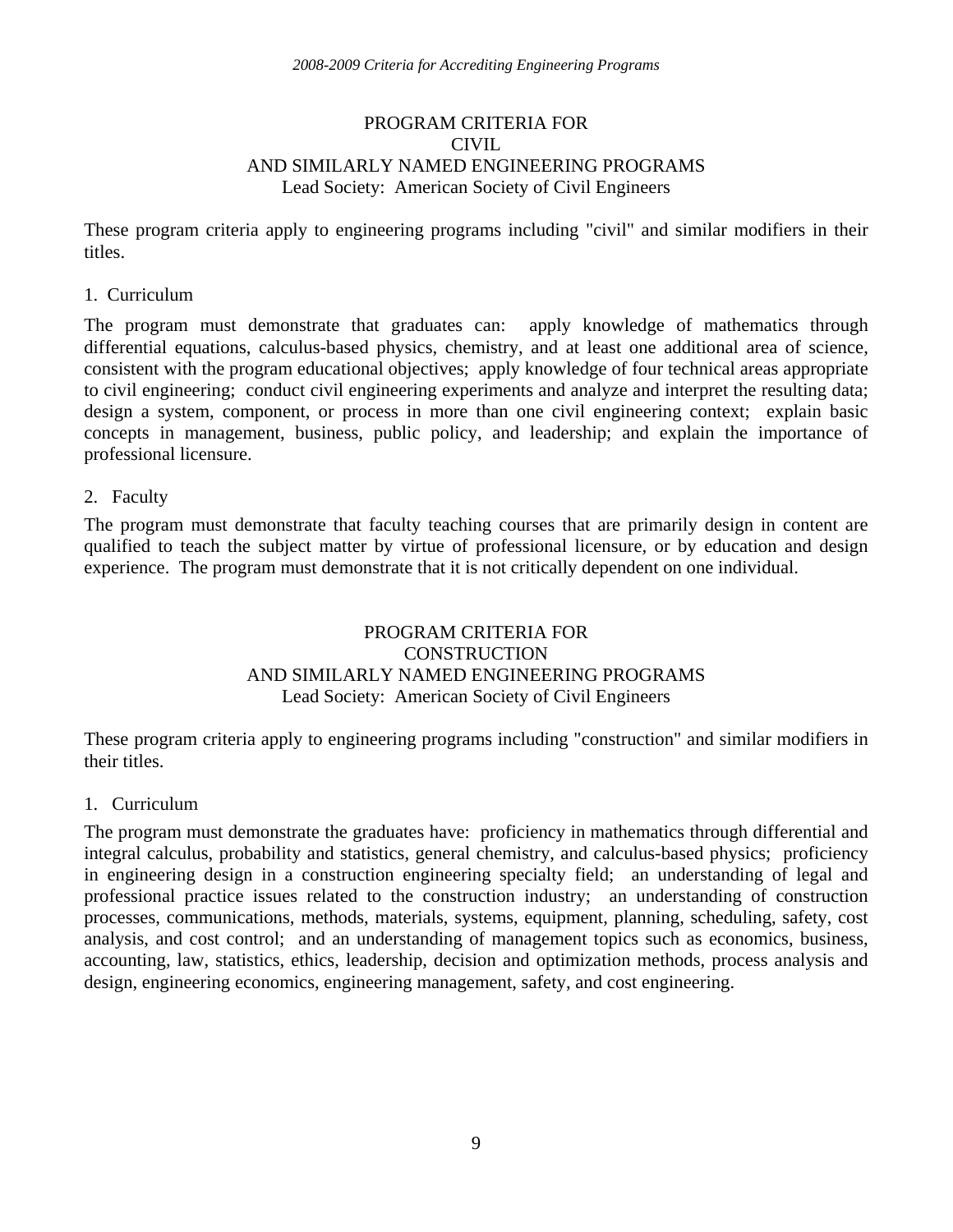#### PROGRAM CRITERIA FOR CIVIL AND SIMILARLY NAMED ENGINEERING PROGRAMS Lead Society: American Society of Civil Engineers

<span id="page-10-0"></span>These program criteria apply to engineering programs including "civil" and similar modifiers in their titles.

#### 1. Curriculum

The program must demonstrate that graduates can: apply knowledge of mathematics through differential equations, calculus-based physics, chemistry, and at least one additional area of science, consistent with the program educational objectives; apply knowledge of four technical areas appropriate to civil engineering; conduct civil engineering experiments and analyze and interpret the resulting data; design a system, component, or process in more than one civil engineering context; explain basic concepts in management, business, public policy, and leadership; and explain the importance of professional licensure.

#### 2. Faculty

The program must demonstrate that faculty teaching courses that are primarily design in content are qualified to teach the subject matter by virtue of professional licensure, or by education and design experience. The program must demonstrate that it is not critically dependent on one individual.

### PROGRAM CRITERIA FOR **CONSTRUCTION** AND SIMILARLY NAMED ENGINEERING PROGRAMS Lead Society: American Society of Civil Engineers

These program criteria apply to engineering programs including "construction" and similar modifiers in their titles.

#### 1. Curriculum

The program must demonstrate the graduates have: proficiency in mathematics through differential and integral calculus, probability and statistics, general chemistry, and calculus-based physics; proficiency in engineering design in a construction engineering specialty field; an understanding of legal and professional practice issues related to the construction industry; an understanding of construction processes, communications, methods, materials, systems, equipment, planning, scheduling, safety, cost analysis, and cost control; and an understanding of management topics such as economics, business, accounting, law, statistics, ethics, leadership, decision and optimization methods, process analysis and design, engineering economics, engineering management, safety, and cost engineering.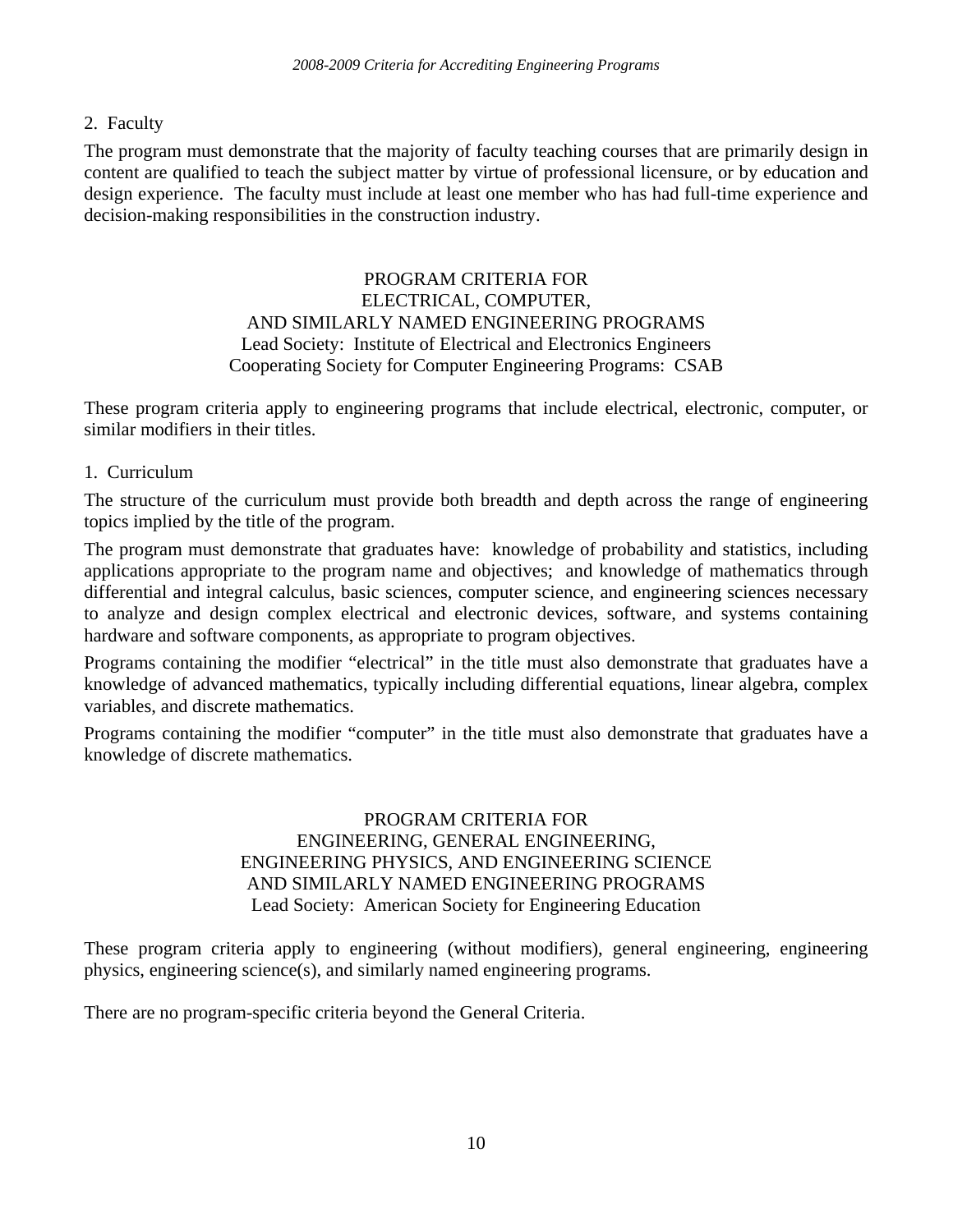<span id="page-11-0"></span>The program must demonstrate that the majority of faculty teaching courses that are primarily design in content are qualified to teach the subject matter by virtue of professional licensure, or by education and design experience. The faculty must include at least one member who has had full-time experience and decision-making responsibilities in the construction industry.

#### PROGRAM CRITERIA FOR ELECTRICAL, COMPUTER, AND SIMILARLY NAMED ENGINEERING PROGRAMS Lead Society: Institute of Electrical and Electronics Engineers Cooperating Society for Computer Engineering Programs: CSAB

These program criteria apply to engineering programs that include electrical, electronic, computer, or similar modifiers in their titles.

## 1. Curriculum

The structure of the curriculum must provide both breadth and depth across the range of engineering topics implied by the title of the program.

The program must demonstrate that graduates have: knowledge of probability and statistics, including applications appropriate to the program name and objectives; and knowledge of mathematics through differential and integral calculus, basic sciences, computer science, and engineering sciences necessary to analyze and design complex electrical and electronic devices, software, and systems containing hardware and software components, as appropriate to program objectives.

Programs containing the modifier "electrical" in the title must also demonstrate that graduates have a knowledge of advanced mathematics, typically including differential equations, linear algebra, complex variables, and discrete mathematics.

Programs containing the modifier "computer" in the title must also demonstrate that graduates have a knowledge of discrete mathematics.

#### PROGRAM CRITERIA FOR ENGINEERING, GENERAL ENGINEERING, ENGINEERING PHYSICS, AND ENGINEERING SCIENCE AND SIMILARLY NAMED ENGINEERING PROGRAMS Lead Society: American Society for Engineering Education

These program criteria apply to engineering (without modifiers), general engineering, engineering physics, engineering science(s), and similarly named engineering programs.

There are no program-specific criteria beyond the General Criteria.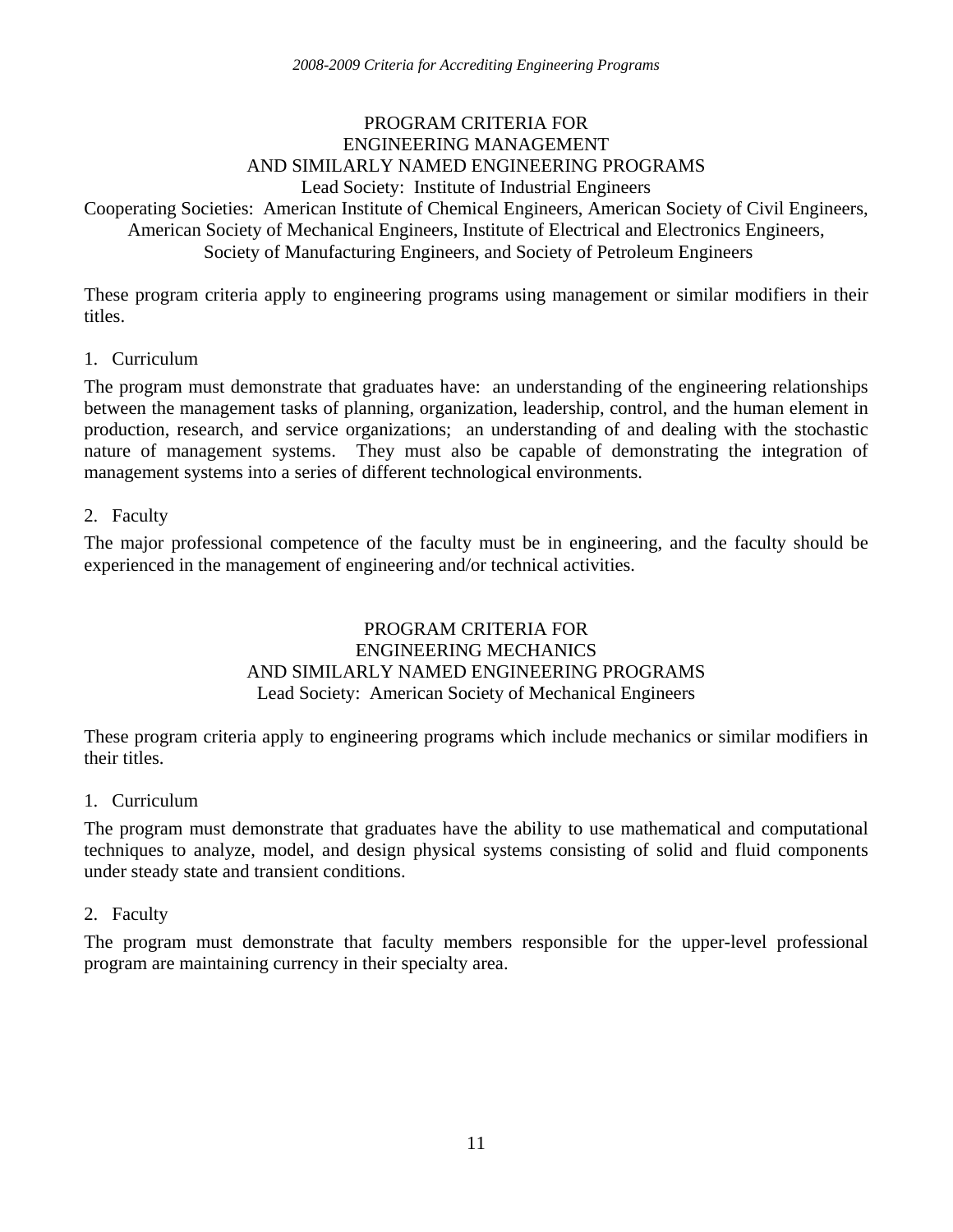#### PROGRAM CRITERIA FOR ENGINEERING MANAGEMENT AND SIMILARLY NAMED ENGINEERING PROGRAMS Lead Society: Institute of Industrial Engineers

<span id="page-12-0"></span>Cooperating Societies: American Institute of Chemical Engineers, American Society of Civil Engineers, American Society of Mechanical Engineers, Institute of Electrical and Electronics Engineers, Society of Manufacturing Engineers, and Society of Petroleum Engineers

These program criteria apply to engineering programs using management or similar modifiers in their titles.

#### 1. Curriculum

The program must demonstrate that graduates have: an understanding of the engineering relationships between the management tasks of planning, organization, leadership, control, and the human element in production, research, and service organizations; an understanding of and dealing with the stochastic nature of management systems. They must also be capable of demonstrating the integration of management systems into a series of different technological environments.

#### 2. Faculty

The major professional competence of the faculty must be in engineering, and the faculty should be experienced in the management of engineering and/or technical activities.

#### PROGRAM CRITERIA FOR ENGINEERING MECHANICS AND SIMILARLY NAMED ENGINEERING PROGRAMS Lead Society: American Society of Mechanical Engineers

These program criteria apply to engineering programs which include mechanics or similar modifiers in their titles.

#### 1. Curriculum

The program must demonstrate that graduates have the ability to use mathematical and computational techniques to analyze, model, and design physical systems consisting of solid and fluid components under steady state and transient conditions.

#### 2. Faculty

The program must demonstrate that faculty members responsible for the upper-level professional program are maintaining currency in their specialty area.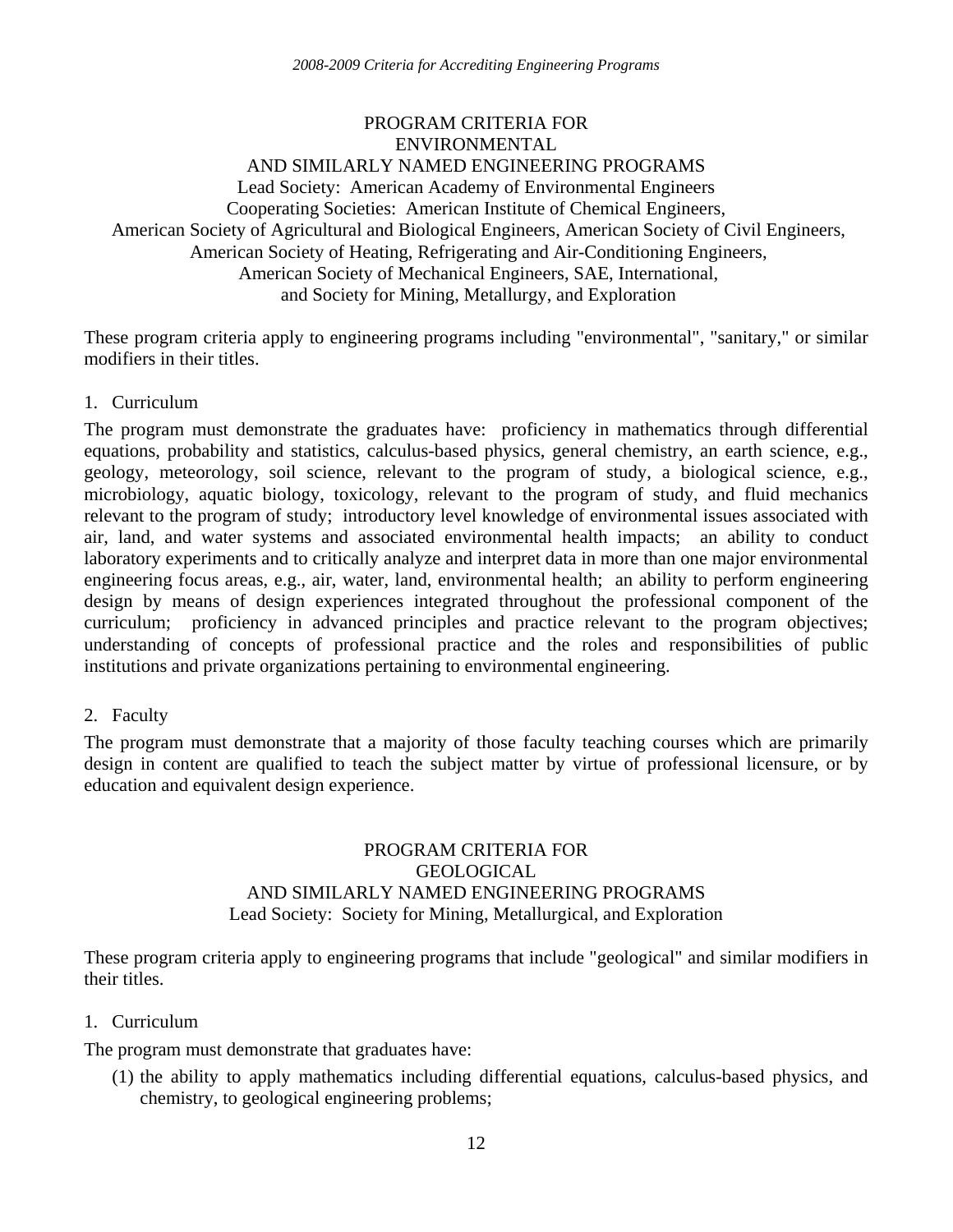#### <span id="page-13-0"></span>PROGRAM CRITERIA FOR ENVIRONMENTAL AND SIMILARLY NAMED ENGINEERING PROGRAMS Lead Society: American Academy of Environmental Engineers Cooperating Societies: American Institute of Chemical Engineers, American Society of Agricultural and Biological Engineers, American Society of Civil Engineers, American Society of Heating, Refrigerating and Air-Conditioning Engineers, American Society of Mechanical Engineers, SAE, International, and Society for Mining, Metallurgy, and Exploration

These program criteria apply to engineering programs including "environmental", "sanitary," or similar modifiers in their titles.

#### 1. Curriculum

The program must demonstrate the graduates have: proficiency in mathematics through differential equations, probability and statistics, calculus-based physics, general chemistry, an earth science, e.g., geology, meteorology, soil science, relevant to the program of study, a biological science, e.g., microbiology, aquatic biology, toxicology, relevant to the program of study, and fluid mechanics relevant to the program of study; introductory level knowledge of environmental issues associated with air, land, and water systems and associated environmental health impacts; an ability to conduct laboratory experiments and to critically analyze and interpret data in more than one major environmental engineering focus areas, e.g., air, water, land, environmental health; an ability to perform engineering design by means of design experiences integrated throughout the professional component of the curriculum; proficiency in advanced principles and practice relevant to the program objectives; understanding of concepts of professional practice and the roles and responsibilities of public institutions and private organizations pertaining to environmental engineering.

#### 2. Faculty

The program must demonstrate that a majority of those faculty teaching courses which are primarily design in content are qualified to teach the subject matter by virtue of professional licensure, or by education and equivalent design experience.

#### PROGRAM CRITERIA FOR GEOLOGICAL AND SIMILARLY NAMED ENGINEERING PROGRAMS Lead Society: Society for Mining, Metallurgical, and Exploration

These program criteria apply to engineering programs that include "geological" and similar modifiers in their titles.

#### 1. Curriculum

The program must demonstrate that graduates have:

(1) the ability to apply mathematics including differential equations, calculus-based physics, and chemistry, to geological engineering problems;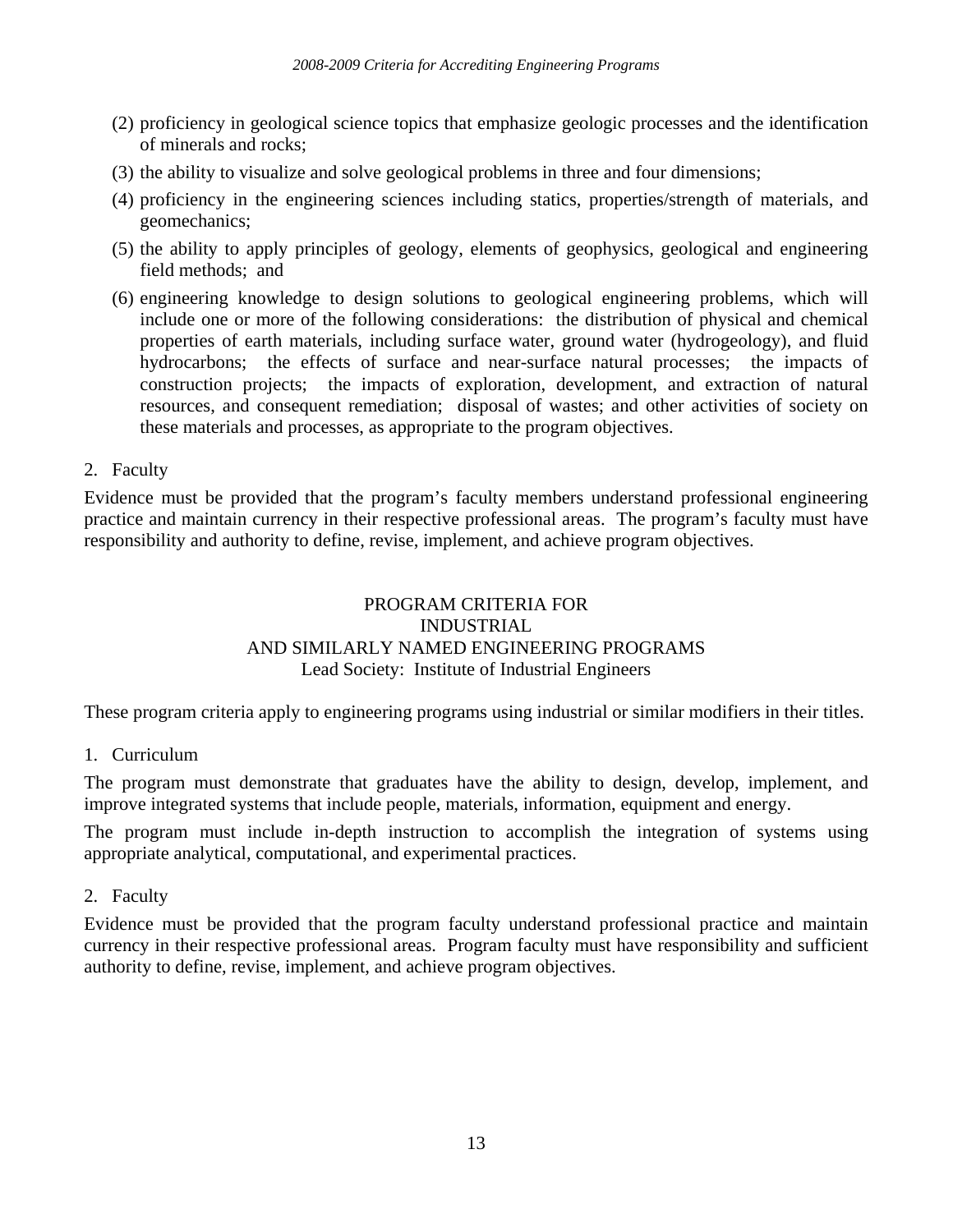- <span id="page-14-0"></span>(2) proficiency in geological science topics that emphasize geologic processes and the identification of minerals and rocks;
- (3) the ability to visualize and solve geological problems in three and four dimensions;
- (4) proficiency in the engineering sciences including statics, properties/strength of materials, and geomechanics;
- (5) the ability to apply principles of geology, elements of geophysics, geological and engineering field methods; and
- (6) engineering knowledge to design solutions to geological engineering problems, which will include one or more of the following considerations: the distribution of physical and chemical properties of earth materials, including surface water, ground water (hydrogeology), and fluid hydrocarbons; the effects of surface and near-surface natural processes; the impacts of construction projects; the impacts of exploration, development, and extraction of natural resources, and consequent remediation; disposal of wastes; and other activities of society on these materials and processes, as appropriate to the program objectives.

Evidence must be provided that the program's faculty members understand professional engineering practice and maintain currency in their respective professional areas. The program's faculty must have responsibility and authority to define, revise, implement, and achieve program objectives.

## PROGRAM CRITERIA FOR INDUSTRIAL AND SIMILARLY NAMED ENGINEERING PROGRAMS Lead Society: Institute of Industrial Engineers

These program criteria apply to engineering programs using industrial or similar modifiers in their titles.

### 1. Curriculum

The program must demonstrate that graduates have the ability to design, develop, implement, and improve integrated systems that include people, materials, information, equipment and energy.

The program must include in-depth instruction to accomplish the integration of systems using appropriate analytical, computational, and experimental practices.

### 2. Faculty

Evidence must be provided that the program faculty understand professional practice and maintain currency in their respective professional areas. Program faculty must have responsibility and sufficient authority to define, revise, implement, and achieve program objectives.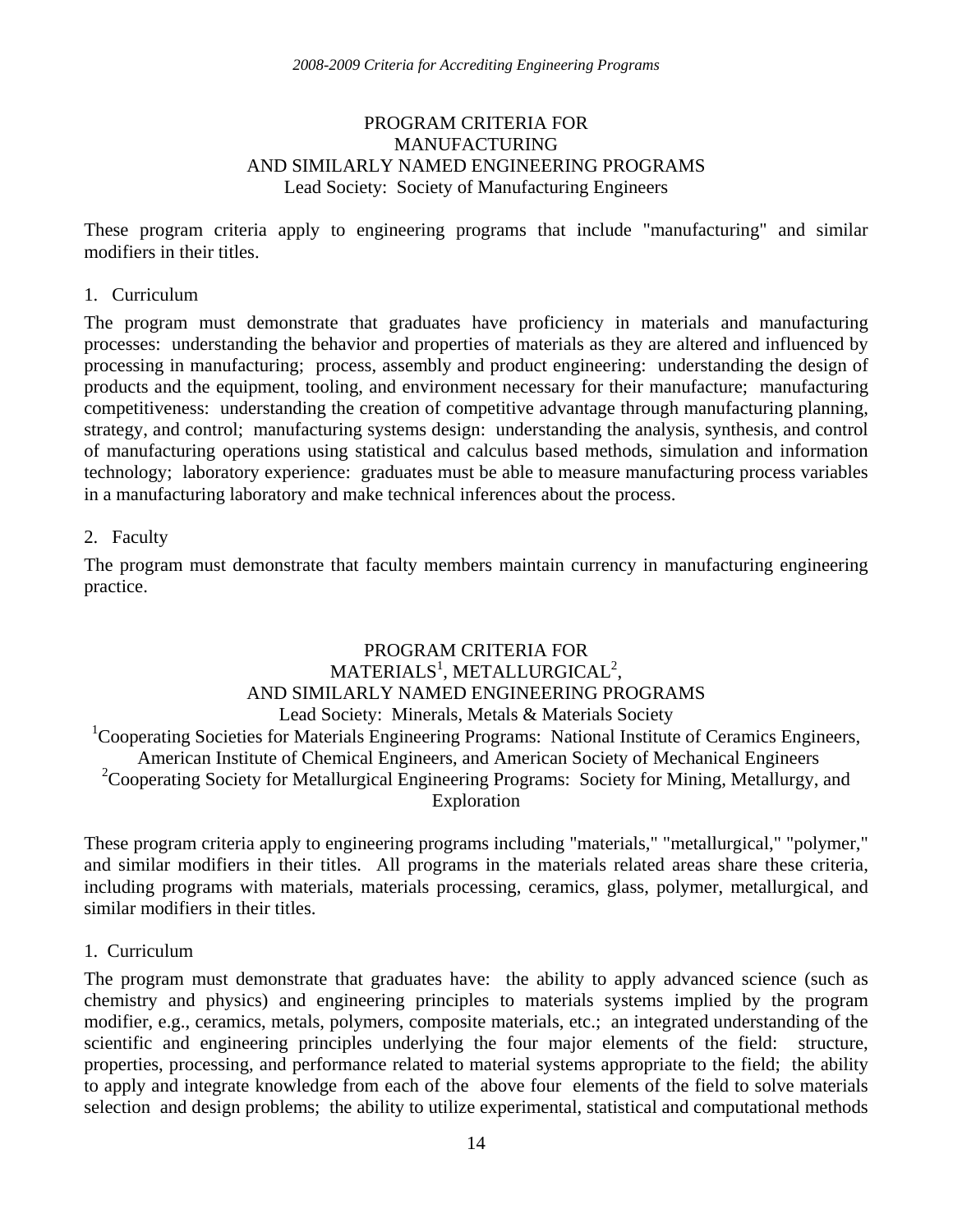#### PROGRAM CRITERIA FOR MANUFACTURING AND SIMILARLY NAMED ENGINEERING PROGRAMS Lead Society: Society of Manufacturing Engineers

<span id="page-15-0"></span>These program criteria apply to engineering programs that include "manufacturing" and similar modifiers in their titles.

#### 1. Curriculum

The program must demonstrate that graduates have proficiency in materials and manufacturing processes: understanding the behavior and properties of materials as they are altered and influenced by processing in manufacturing; process, assembly and product engineering: understanding the design of products and the equipment, tooling, and environment necessary for their manufacture; manufacturing competitiveness: understanding the creation of competitive advantage through manufacturing planning, strategy, and control; manufacturing systems design: understanding the analysis, synthesis, and control of manufacturing operations using statistical and calculus based methods, simulation and information technology; laboratory experience: graduates must be able to measure manufacturing process variables in a manufacturing laboratory and make technical inferences about the process.

#### 2. Faculty

The program must demonstrate that faculty members maintain currency in manufacturing engineering practice.

PROGRAM CRITERIA FOR  $MATERIALS<sup>1</sup>$ ,  $METALLURGICAL<sup>2</sup>$ , AND SIMILARLY NAMED ENGINEERING PROGRAMS Lead Society: Minerals, Metals & Materials Society <sup>1</sup>Cooperating Societies for Materials Engineering Programs: National Institute of Ceramics Engineers, American Institute of Chemical Engineers, and American Society of Mechanical Engineers <sup>2</sup>Cooperating Society for Metallurgical Engineering Programs: Society for Mining, Metallurgy, and Exploration

These program criteria apply to engineering programs including "materials," "metallurgical," "polymer," and similar modifiers in their titles. All programs in the materials related areas share these criteria, including programs with materials, materials processing, ceramics, glass, polymer, metallurgical, and similar modifiers in their titles.

#### 1. Curriculum

The program must demonstrate that graduates have: the ability to apply advanced science (such as chemistry and physics) and engineering principles to materials systems implied by the program modifier, e.g., ceramics, metals, polymers, composite materials, etc.; an integrated understanding of the scientific and engineering principles underlying the four major elements of the field: structure, properties, processing, and performance related to material systems appropriate to the field; the ability to apply and integrate knowledge from each of the above four elements of the field to solve materials selection and design problems; the ability to utilize experimental, statistical and computational methods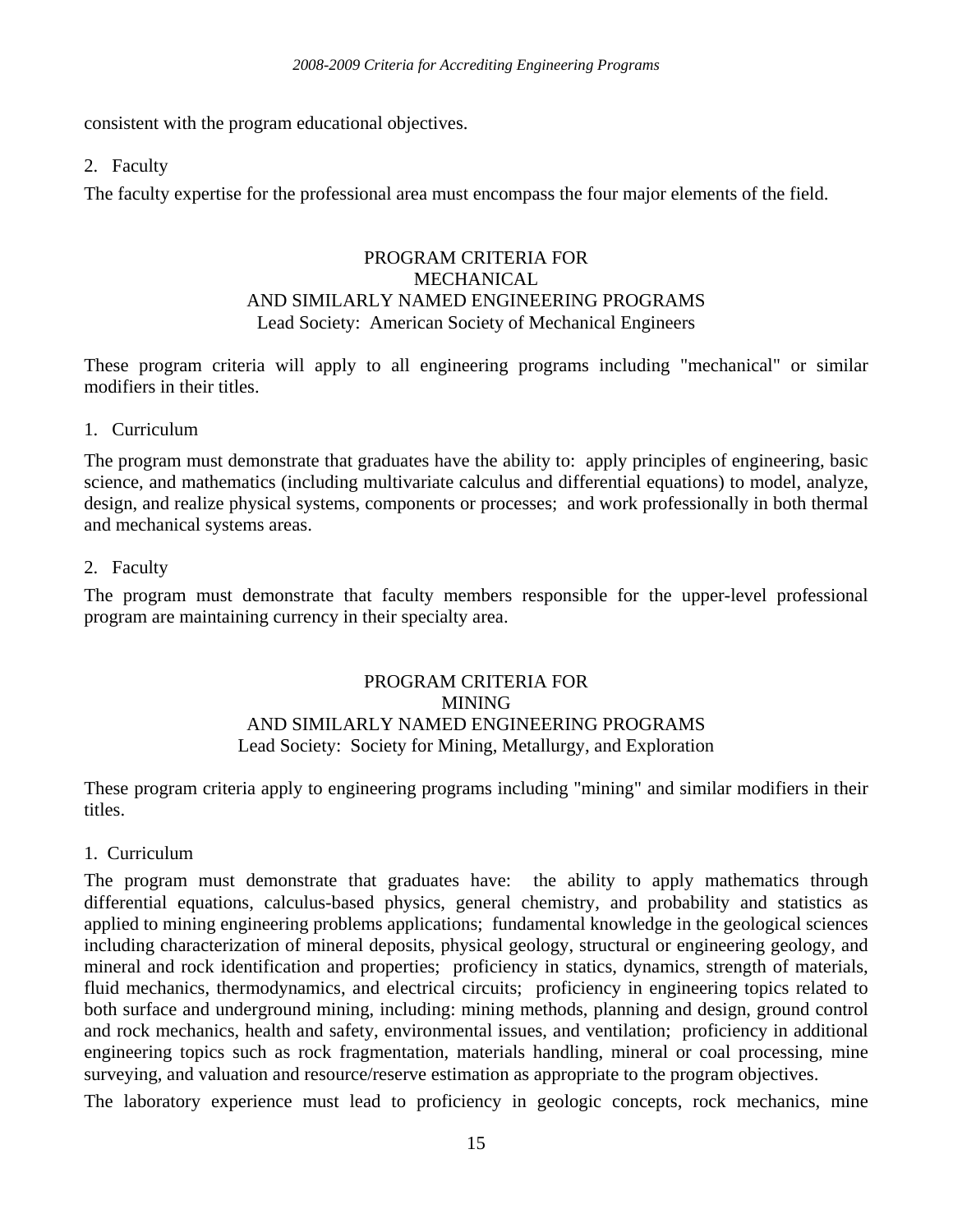<span id="page-16-0"></span>consistent with the program educational objectives.

### 2. Faculty

The faculty expertise for the professional area must encompass the four major elements of the field.

#### PROGRAM CRITERIA FOR MECHANICAL AND SIMILARLY NAMED ENGINEERING PROGRAMS Lead Society: American Society of Mechanical Engineers

These program criteria will apply to all engineering programs including "mechanical" or similar modifiers in their titles.

#### 1. Curriculum

The program must demonstrate that graduates have the ability to: apply principles of engineering, basic science, and mathematics (including multivariate calculus and differential equations) to model, analyze, design, and realize physical systems, components or processes; and work professionally in both thermal and mechanical systems areas.

#### 2. Faculty

The program must demonstrate that faculty members responsible for the upper-level professional program are maintaining currency in their specialty area.

### PROGRAM CRITERIA FOR MINING AND SIMILARLY NAMED ENGINEERING PROGRAMS Lead Society: Society for Mining, Metallurgy, and Exploration

These program criteria apply to engineering programs including "mining" and similar modifiers in their titles.

#### 1. Curriculum

The program must demonstrate that graduates have: the ability to apply mathematics through differential equations, calculus-based physics, general chemistry, and probability and statistics as applied to mining engineering problems applications; fundamental knowledge in the geological sciences including characterization of mineral deposits, physical geology, structural or engineering geology, and mineral and rock identification and properties; proficiency in statics, dynamics, strength of materials, fluid mechanics, thermodynamics, and electrical circuits; proficiency in engineering topics related to both surface and underground mining, including: mining methods, planning and design, ground control and rock mechanics, health and safety, environmental issues, and ventilation; proficiency in additional engineering topics such as rock fragmentation, materials handling, mineral or coal processing, mine surveying, and valuation and resource/reserve estimation as appropriate to the program objectives.

The laboratory experience must lead to proficiency in geologic concepts, rock mechanics, mine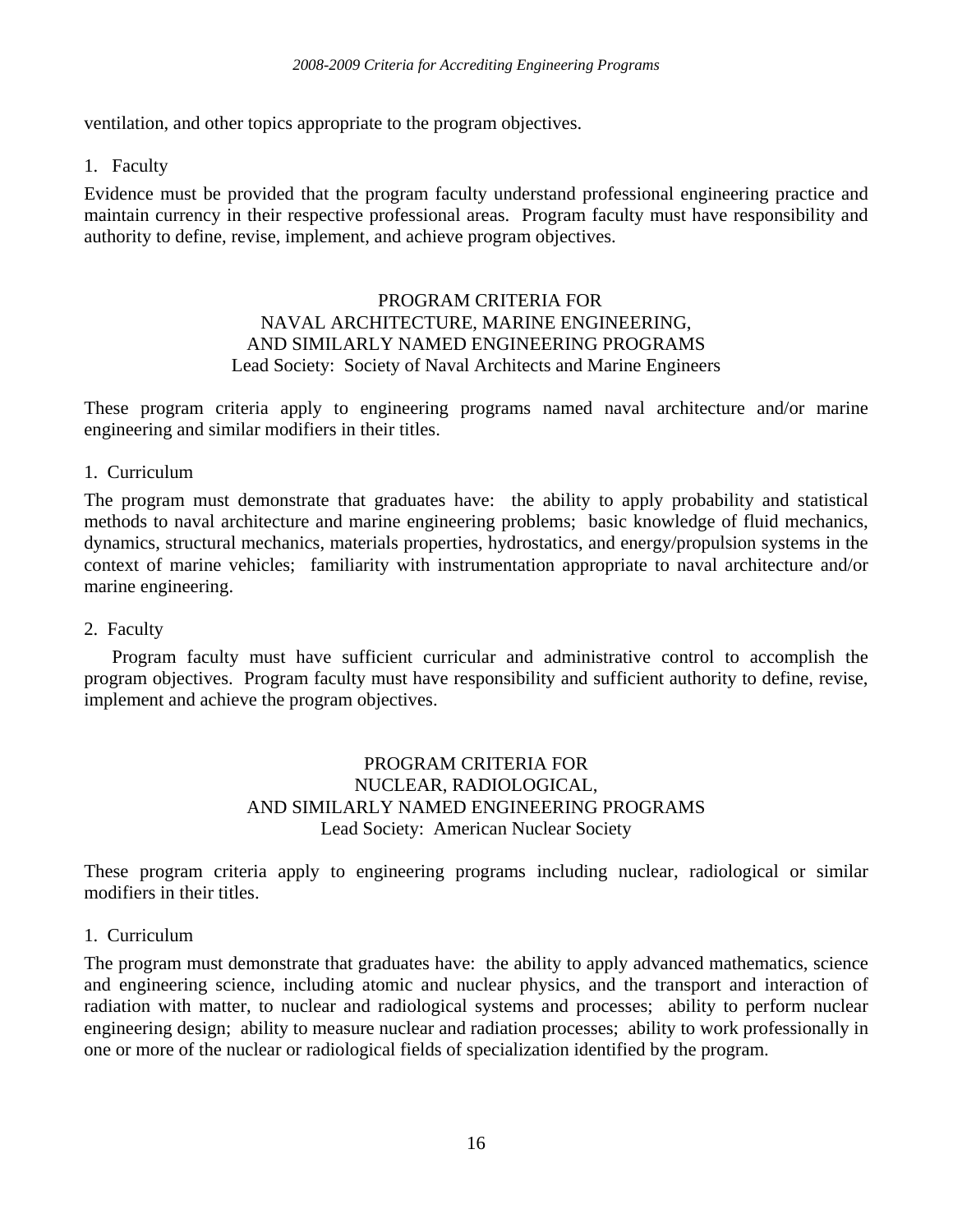<span id="page-17-0"></span>ventilation, and other topics appropriate to the program objectives.

#### 1. Faculty

Evidence must be provided that the program faculty understand professional engineering practice and maintain currency in their respective professional areas. Program faculty must have responsibility and authority to define, revise, implement, and achieve program objectives.

#### PROGRAM CRITERIA FOR NAVAL ARCHITECTURE, MARINE ENGINEERING, AND SIMILARLY NAMED ENGINEERING PROGRAMS Lead Society: Society of Naval Architects and Marine Engineers

These program criteria apply to engineering programs named naval architecture and/or marine engineering and similar modifiers in their titles.

#### 1. Curriculum

The program must demonstrate that graduates have: the ability to apply probability and statistical methods to naval architecture and marine engineering problems; basic knowledge of fluid mechanics, dynamics, structural mechanics, materials properties, hydrostatics, and energy/propulsion systems in the context of marine vehicles; familiarity with instrumentation appropriate to naval architecture and/or marine engineering.

#### 2. Faculty

Program faculty must have sufficient curricular and administrative control to accomplish the program objectives. Program faculty must have responsibility and sufficient authority to define, revise, implement and achieve the program objectives.

#### PROGRAM CRITERIA FOR NUCLEAR, RADIOLOGICAL, AND SIMILARLY NAMED ENGINEERING PROGRAMS Lead Society: American Nuclear Society

These program criteria apply to engineering programs including nuclear, radiological or similar modifiers in their titles.

#### 1. Curriculum

The program must demonstrate that graduates have: the ability to apply advanced mathematics, science and engineering science, including atomic and nuclear physics, and the transport and interaction of radiation with matter, to nuclear and radiological systems and processes; ability to perform nuclear engineering design; ability to measure nuclear and radiation processes; ability to work professionally in one or more of the nuclear or radiological fields of specialization identified by the program.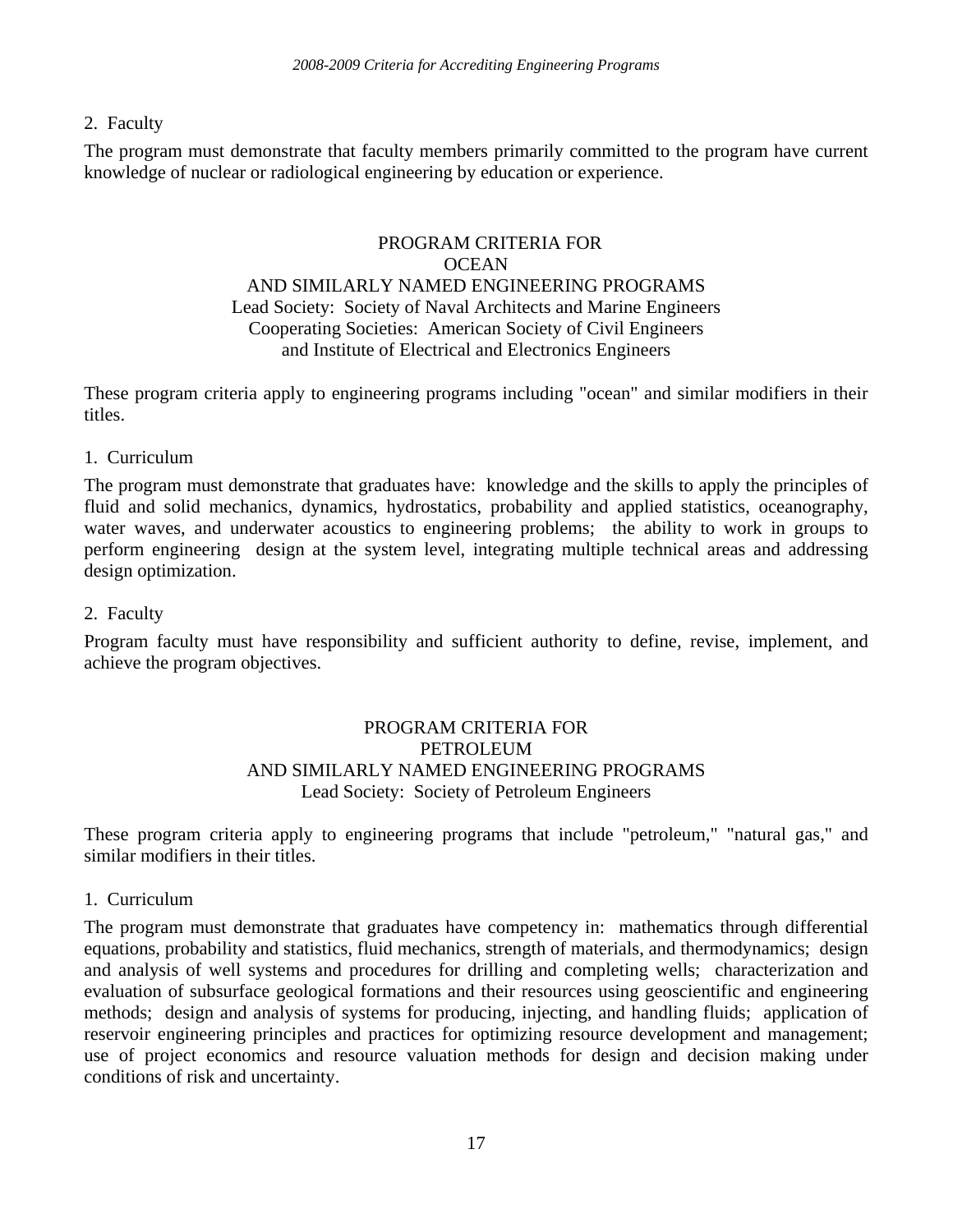<span id="page-18-0"></span>The program must demonstrate that faculty members primarily committed to the program have current knowledge of nuclear or radiological engineering by education or experience.

#### PROGRAM CRITERIA FOR **OCEAN** AND SIMILARLY NAMED ENGINEERING PROGRAMS Lead Society: Society of Naval Architects and Marine Engineers Cooperating Societies: American Society of Civil Engineers and Institute of Electrical and Electronics Engineers

These program criteria apply to engineering programs including "ocean" and similar modifiers in their titles.

#### 1. Curriculum

The program must demonstrate that graduates have: knowledge and the skills to apply the principles of fluid and solid mechanics, dynamics, hydrostatics, probability and applied statistics, oceanography, water waves, and underwater acoustics to engineering problems; the ability to work in groups to perform engineering design at the system level, integrating multiple technical areas and addressing design optimization.

#### 2. Faculty

Program faculty must have responsibility and sufficient authority to define, revise, implement, and achieve the program objectives.

#### PROGRAM CRITERIA FOR PETROLEUM AND SIMILARLY NAMED ENGINEERING PROGRAMS Lead Society: Society of Petroleum Engineers

These program criteria apply to engineering programs that include "petroleum," "natural gas," and similar modifiers in their titles.

#### 1. Curriculum

The program must demonstrate that graduates have competency in: mathematics through differential equations, probability and statistics, fluid mechanics, strength of materials, and thermodynamics; design and analysis of well systems and procedures for drilling and completing wells; characterization and evaluation of subsurface geological formations and their resources using geoscientific and engineering methods; design and analysis of systems for producing, injecting, and handling fluids; application of reservoir engineering principles and practices for optimizing resource development and management; use of project economics and resource valuation methods for design and decision making under conditions of risk and uncertainty.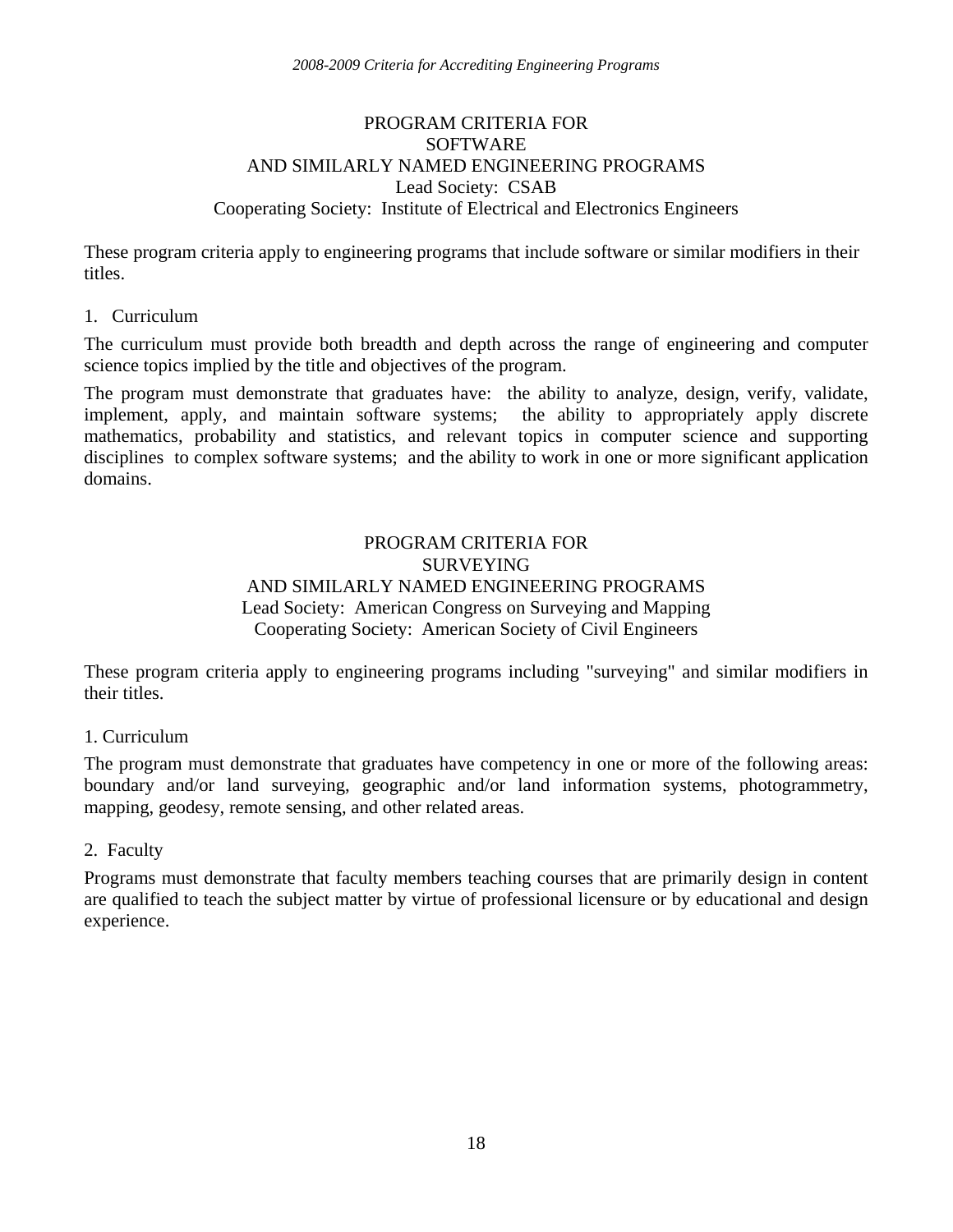#### <span id="page-19-0"></span>PROGRAM CRITERIA FOR SOFTWARE AND SIMILARLY NAMED ENGINEERING PROGRAMS Lead Society: CSAB Cooperating Society: Institute of Electrical and Electronics Engineers

These program criteria apply to engineering programs that include software or similar modifiers in their titles.

#### 1. Curriculum

The curriculum must provide both breadth and depth across the range of engineering and computer science topics implied by the title and objectives of the program.

The program must demonstrate that graduates have: the ability to analyze, design, verify, validate, implement, apply, and maintain software systems; the ability to appropriately apply discrete mathematics, probability and statistics, and relevant topics in computer science and supporting disciplines to complex software systems; and the ability to work in one or more significant application domains.

#### PROGRAM CRITERIA FOR SURVEYING AND SIMILARLY NAMED ENGINEERING PROGRAMS Lead Society: American Congress on Surveying and Mapping Cooperating Society: American Society of Civil Engineers

These program criteria apply to engineering programs including "surveying" and similar modifiers in their titles.

### 1. Curriculum

The program must demonstrate that graduates have competency in one or more of the following areas: boundary and/or land surveying, geographic and/or land information systems, photogrammetry, mapping, geodesy, remote sensing, and other related areas.

#### 2. Faculty

Programs must demonstrate that faculty members teaching courses that are primarily design in content are qualified to teach the subject matter by virtue of professional licensure or by educational and design experience.